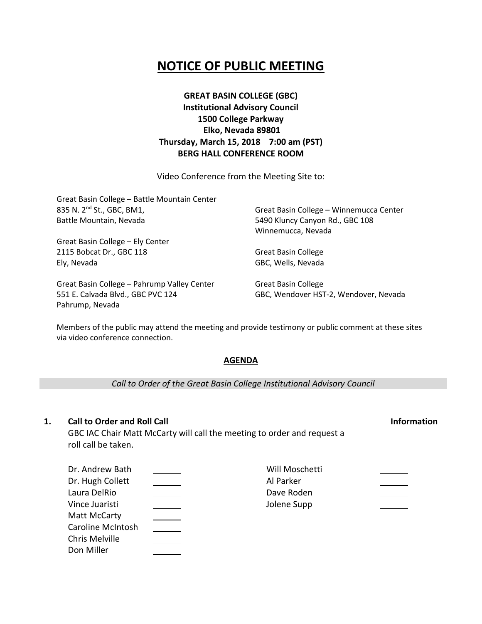# **NOTICE OF PUBLIC MEETING**

**GREAT BASIN COLLEGE (GBC) Institutional Advisory Council 1500 College Parkway Elko, Nevada 89801 Thursday, March 15, 2018 7:00 am (PST) BERG HALL CONFERENCE ROOM**

Video Conference from the Meeting Site to:

| Great Basin College - Battle Mountain Center |                                         |  |
|----------------------------------------------|-----------------------------------------|--|
| 835 N. 2 <sup>nd</sup> St., GBC, BM1,        | Great Basin College - Winnemucca Center |  |
| Battle Mountain, Nevada                      | 5490 Kluncy Canyon Rd., GBC 108         |  |
|                                              | Winnemucca, Nevada                      |  |
| Great Basin College - Ely Center             |                                         |  |
| 2115 Bobcat Dr., GBC 118                     | <b>Great Basin College</b>              |  |
| Ely, Nevada                                  | GBC, Wells, Nevada                      |  |
| Great Basin College - Pahrump Valley Center  | <b>Great Basin College</b>              |  |
| 551 E. Calvada Blvd., GBC PVC 124            | GBC, Wendover HST-2, Wendover, Nevada   |  |

Members of the public may attend the meeting and provide testimony or public comment at these sites via video conference connection.

# **AGENDA**

*Call to Order of the Great Basin College Institutional Advisory Council*

# **1. Call to Order and Roll Call Information**

Pahrump, Nevada

GBC IAC Chair Matt McCarty will call the meeting to order and request a roll call be taken.

| Dr. Andrew Bath          | Will Moschetti |  |
|--------------------------|----------------|--|
| Dr. Hugh Collett         | Al Parker      |  |
| Laura DelRio             | Dave Roden     |  |
| Vince Juaristi           | Jolene Supp    |  |
| Matt McCarty             |                |  |
| <b>Caroline McIntosh</b> |                |  |
| Chris Melville           |                |  |
| Don Miller               |                |  |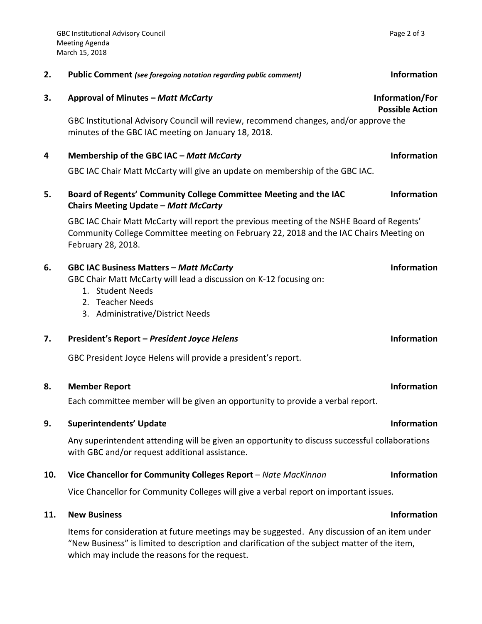| 2.  | <b>Public Comment</b> (see foregoing notation regarding public comment)                                                                                                                                   | <b>Information</b>                        |
|-----|-----------------------------------------------------------------------------------------------------------------------------------------------------------------------------------------------------------|-------------------------------------------|
| 3.  | Approval of Minutes - Matt McCarty                                                                                                                                                                        | Information/For<br><b>Possible Action</b> |
|     | GBC Institutional Advisory Council will review, recommend changes, and/or approve the<br>minutes of the GBC IAC meeting on January 18, 2018.                                                              |                                           |
| 4   | Membership of the GBC IAC - Matt McCarty                                                                                                                                                                  | <b>Information</b>                        |
|     | GBC IAC Chair Matt McCarty will give an update on membership of the GBC IAC.                                                                                                                              |                                           |
| 5.  | Board of Regents' Community College Committee Meeting and the IAC<br><b>Chairs Meeting Update - Matt McCarty</b>                                                                                          | <b>Information</b>                        |
|     | GBC IAC Chair Matt McCarty will report the previous meeting of the NSHE Board of Regents'<br>Community College Committee meeting on February 22, 2018 and the IAC Chairs Meeting on<br>February 28, 2018. |                                           |
| 6.  | <b>GBC IAC Business Matters - Matt McCarty</b><br>GBC Chair Matt McCarty will lead a discussion on K-12 focusing on:<br>1. Student Needs<br>2. Teacher Needs<br>3. Administrative/District Needs          | <b>Information</b>                        |
| 7.  | President's Report - President Joyce Helens                                                                                                                                                               | <b>Information</b>                        |
|     | GBC President Joyce Helens will provide a president's report.                                                                                                                                             |                                           |
| 8.  | <b>Member Report</b>                                                                                                                                                                                      | <b>Information</b>                        |
|     | Each committee member will be given an opportunity to provide a verbal report.                                                                                                                            |                                           |
| 9.  | <b>Superintendents' Update</b>                                                                                                                                                                            | Information                               |
|     | Any superintendent attending will be given an opportunity to discuss successful collaborations<br>with GBC and/or request additional assistance.                                                          |                                           |
| 10. | Vice Chancellor for Community Colleges Report - Nate MacKinnon                                                                                                                                            | <b>Information</b>                        |
|     | Vice Chancellor for Community Colleges will give a verbal report on important issues.                                                                                                                     |                                           |
| 11. | <b>New Business</b>                                                                                                                                                                                       | <b>Information</b>                        |

Items for consideration at future meetings may be suggested. Any discussion of an item under "New Business" is limited to description and clarification of the subject matter of the item, which may include the reasons for the request.